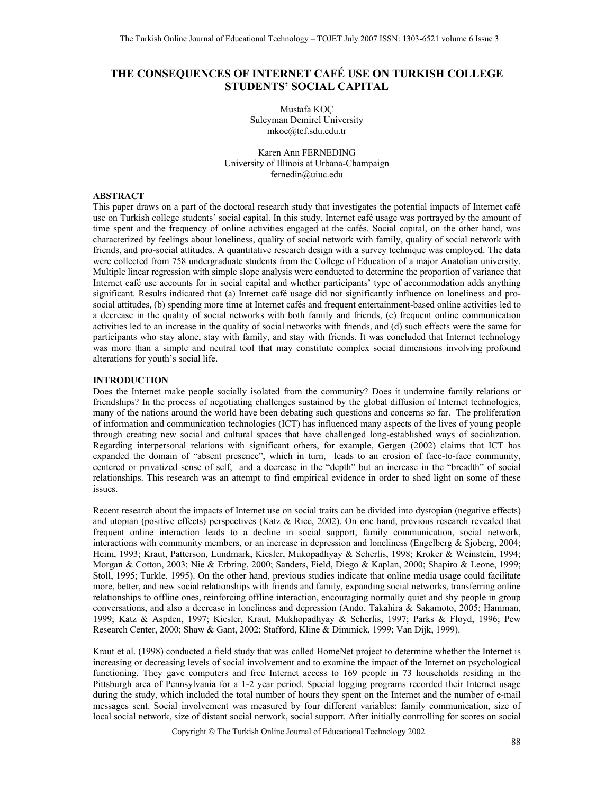# **THE CONSEQUENCES OF INTERNET CAFÉ USE ON TURKISH COLLEGE STUDENTS' SOCIAL CAPITAL**

Mustafa KOÇ Suleyman Demirel University mkoc@tef.sdu.edu.tr

Karen Ann FERNEDING University of Illinois at Urbana-Champaign fernedin@uiuc.edu

## **ABSTRACT**

This paper draws on a part of the doctoral research study that investigates the potential impacts of Internet café use on Turkish college students' social capital. In this study, Internet café usage was portrayed by the amount of time spent and the frequency of online activities engaged at the cafés. Social capital, on the other hand, was characterized by feelings about loneliness, quality of social network with family, quality of social network with friends, and pro-social attitudes. A quantitative research design with a survey technique was employed. The data were collected from 758 undergraduate students from the College of Education of a major Anatolian university. Multiple linear regression with simple slope analysis were conducted to determine the proportion of variance that Internet café use accounts for in social capital and whether participants' type of accommodation adds anything significant. Results indicated that (a) Internet café usage did not significantly influence on loneliness and prosocial attitudes, (b) spending more time at Internet cafés and frequent entertainment-based online activities led to a decrease in the quality of social networks with both family and friends, (c) frequent online communication activities led to an increase in the quality of social networks with friends, and (d) such effects were the same for participants who stay alone, stay with family, and stay with friends. It was concluded that Internet technology was more than a simple and neutral tool that may constitute complex social dimensions involving profound alterations for youth's social life.

### **INTRODUCTION**

Does the Internet make people socially isolated from the community? Does it undermine family relations or friendships? In the process of negotiating challenges sustained by the global diffusion of Internet technologies, many of the nations around the world have been debating such questions and concerns so far. The proliferation of information and communication technologies (ICT) has influenced many aspects of the lives of young people through creating new social and cultural spaces that have challenged long-established ways of socialization. Regarding interpersonal relations with significant others, for example, Gergen (2002) claims that ICT has expanded the domain of "absent presence", which in turn, leads to an erosion of face-to-face community, centered or privatized sense of self, and a decrease in the "depth" but an increase in the "breadth" of social relationships. This research was an attempt to find empirical evidence in order to shed light on some of these issues.

Recent research about the impacts of Internet use on social traits can be divided into dystopian (negative effects) and utopian (positive effects) perspectives (Katz & Rice, 2002). On one hand, previous research revealed that frequent online interaction leads to a decline in social support, family communication, social network, interactions with community members, or an increase in depression and loneliness (Engelberg & Sjoberg, 2004; Heim, 1993; Kraut, Patterson, Lundmark, Kiesler, Mukopadhyay & Scherlis, 1998; Kroker & Weinstein, 1994; Morgan & Cotton, 2003; Nie & Erbring, 2000; Sanders, Field, Diego & Kaplan, 2000; Shapiro & Leone, 1999; Stoll, 1995; Turkle, 1995). On the other hand, previous studies indicate that online media usage could facilitate more, better, and new social relationships with friends and family, expanding social networks, transferring online relationships to offline ones, reinforcing offline interaction, encouraging normally quiet and shy people in group conversations, and also a decrease in loneliness and depression (Ando, Takahira & Sakamoto, 2005; Hamman, 1999; Katz & Aspden, 1997; Kiesler, Kraut, Mukhopadhyay & Scherlis, 1997; Parks & Floyd, 1996; Pew Research Center, 2000; Shaw & Gant, 2002; Stafford, Kline & Dimmick, 1999; Van Dijk, 1999).

Kraut et al. (1998) conducted a field study that was called HomeNet project to determine whether the Internet is increasing or decreasing levels of social involvement and to examine the impact of the Internet on psychological functioning. They gave computers and free Internet access to 169 people in 73 households residing in the Pittsburgh area of Pennsylvania for a 1-2 year period. Special logging programs recorded their Internet usage during the study, which included the total number of hours they spent on the Internet and the number of e-mail messages sent. Social involvement was measured by four different variables: family communication, size of local social network, size of distant social network, social support. After initially controlling for scores on social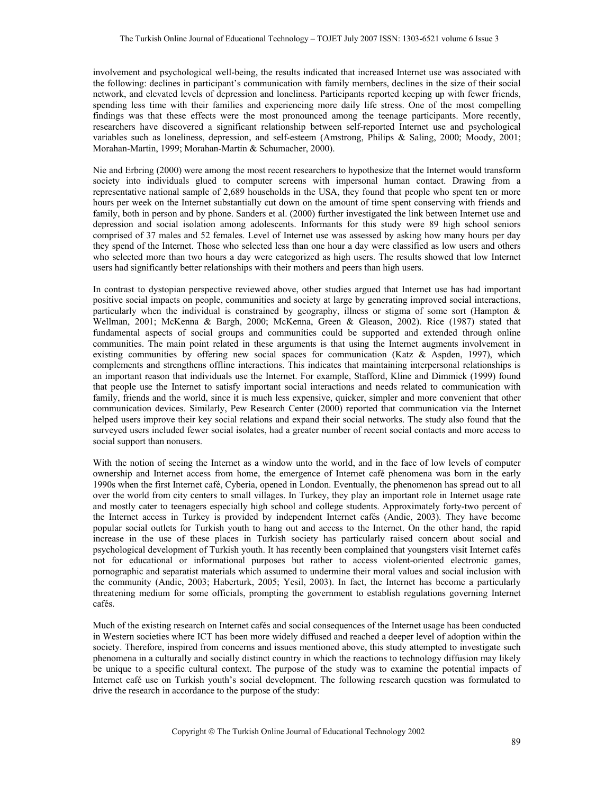involvement and psychological well-being, the results indicated that increased Internet use was associated with the following: declines in participant's communication with family members, declines in the size of their social network, and elevated levels of depression and loneliness. Participants reported keeping up with fewer friends, spending less time with their families and experiencing more daily life stress. One of the most compelling findings was that these effects were the most pronounced among the teenage participants. More recently, researchers have discovered a significant relationship between self-reported Internet use and psychological variables such as loneliness, depression, and self-esteem (Amstrong, Philips & Saling, 2000; Moody, 2001; Morahan-Martin, 1999; Morahan-Martin & Schumacher, 2000).

Nie and Erbring (2000) were among the most recent researchers to hypothesize that the Internet would transform society into individuals glued to computer screens with impersonal human contact. Drawing from a representative national sample of 2,689 households in the USA, they found that people who spent ten or more hours per week on the Internet substantially cut down on the amount of time spent conserving with friends and family, both in person and by phone. Sanders et al. (2000) further investigated the link between Internet use and depression and social isolation among adolescents. Informants for this study were 89 high school seniors comprised of 37 males and 52 females. Level of Internet use was assessed by asking how many hours per day they spend of the Internet. Those who selected less than one hour a day were classified as low users and others who selected more than two hours a day were categorized as high users. The results showed that low Internet users had significantly better relationships with their mothers and peers than high users.

In contrast to dystopian perspective reviewed above, other studies argued that Internet use has had important positive social impacts on people, communities and society at large by generating improved social interactions, particularly when the individual is constrained by geography, illness or stigma of some sort (Hampton & Wellman, 2001; McKenna & Bargh, 2000; McKenna, Green & Gleason, 2002). Rice (1987) stated that fundamental aspects of social groups and communities could be supported and extended through online communities. The main point related in these arguments is that using the Internet augments involvement in existing communities by offering new social spaces for communication (Katz & Aspden, 1997), which complements and strengthens offline interactions. This indicates that maintaining interpersonal relationships is an important reason that individuals use the Internet. For example, Stafford, Kline and Dimmick (1999) found that people use the Internet to satisfy important social interactions and needs related to communication with family, friends and the world, since it is much less expensive, quicker, simpler and more convenient that other communication devices. Similarly, Pew Research Center (2000) reported that communication via the Internet helped users improve their key social relations and expand their social networks. The study also found that the surveyed users included fewer social isolates, had a greater number of recent social contacts and more access to social support than nonusers.

With the notion of seeing the Internet as a window unto the world, and in the face of low levels of computer ownership and Internet access from home, the emergence of Internet café phenomena was born in the early 1990s when the first Internet café, Cyberia, opened in London. Eventually, the phenomenon has spread out to all over the world from city centers to small villages. In Turkey, they play an important role in Internet usage rate and mostly cater to teenagers especially high school and college students. Approximately forty-two percent of the Internet access in Turkey is provided by independent Internet cafés (Andic, 2003). They have become popular social outlets for Turkish youth to hang out and access to the Internet. On the other hand, the rapid increase in the use of these places in Turkish society has particularly raised concern about social and psychological development of Turkish youth. It has recently been complained that youngsters visit Internet cafés not for educational or informational purposes but rather to access violent-oriented electronic games, pornographic and separatist materials which assumed to undermine their moral values and social inclusion with the community (Andic, 2003; Haberturk, 2005; Yesil, 2003). In fact, the Internet has become a particularly threatening medium for some officials, prompting the government to establish regulations governing Internet cafés.

Much of the existing research on Internet cafés and social consequences of the Internet usage has been conducted in Western societies where ICT has been more widely diffused and reached a deeper level of adoption within the society. Therefore, inspired from concerns and issues mentioned above, this study attempted to investigate such phenomena in a culturally and socially distinct country in which the reactions to technology diffusion may likely be unique to a specific cultural context. The purpose of the study was to examine the potential impacts of Internet café use on Turkish youth's social development. The following research question was formulated to drive the research in accordance to the purpose of the study: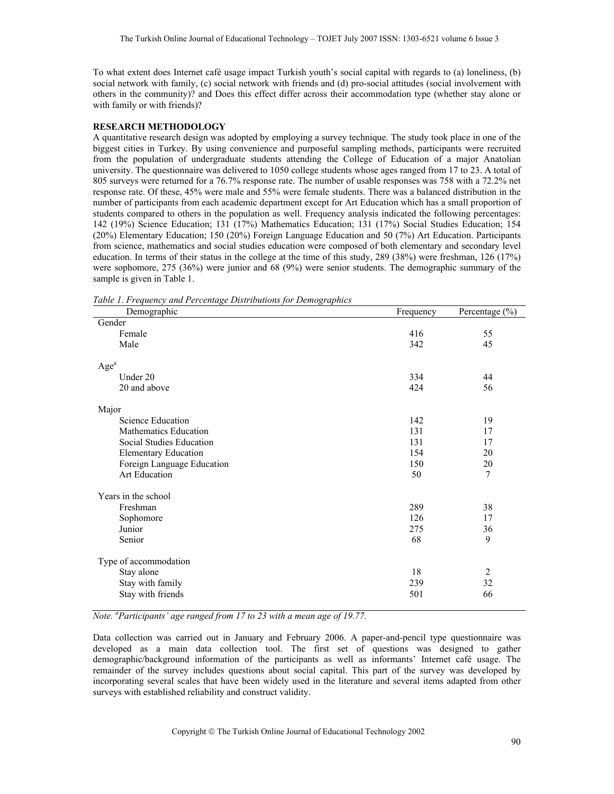To what extent does Internet café usage impact Turkish youth's social capital with regards to (a) loneliness, (b) social network with family, (c) social network with friends and (d) pro-social attitudes (social involvement with others in the community)? and Does this effect differ across their accommodation type (whether stay alone or with family or with friends)?

#### **RESEARCH METHODOLOGY**

A quantitative research design was adopted by employing a survey technique. The study took place in one of the biggest cities in Turkey. By using convenience and purposeful sampling methods, participants were recruited from the population of undergraduate students attending the College of Education of a major Anatolian university. The questionnaire was delivered to 1050 college students whose ages ranged from 17 to 23. A total of 805 surveys were returned for a 76.7% response rate. The number of usable responses was 758 with a 72.2% net response rate. Of these, 45% were male and 55% were female students. There was a balanced distribution in the number of participants from each academic department except for Art Education which has a small proportion of students compared to others in the population as well. Frequency analysis indicated the following percentages: 142 (19%) Science Education; 131 (17%) Mathematics Education; 131 (17%) Social Studies Education; 154 (20%) Elementary Education; 150 (20%) Foreign Language Education and 50 (7%) Art Education. Participants from science, mathematics and social studies education were composed of both elementary and secondary level education. In terms of their status in the college at the time of this study, 289 (38%) were freshman, 126 (17%) were sophomore, 275 (36%) were junior and 68 (9%) were senior students. The demographic summary of the sample is given in Table 1.

*Table 1. Frequency and Percentage Distributions for Demographics* 

| able 1.1 requency and 1 creeninge Distributions for Demographics<br>Demographic | Frequency | Percentage $(\% )$ |
|---------------------------------------------------------------------------------|-----------|--------------------|
| Gender                                                                          |           |                    |
| Female                                                                          | 416       | 55                 |
| Male                                                                            | 342       | 45                 |
| Age <sup>a</sup>                                                                |           |                    |
| Under 20                                                                        | 334       | 44                 |
| 20 and above                                                                    | 424       | 56                 |
| Major                                                                           |           |                    |
| Science Education                                                               | 142       | 19                 |
| Mathematics Education                                                           | 131       | 17                 |
| Social Studies Education                                                        | 131       | 17                 |
| <b>Elementary Education</b>                                                     | 154       | 20                 |
| Foreign Language Education                                                      | 150       | 20                 |
| Art Education                                                                   | 50        | 7                  |
| Years in the school                                                             |           |                    |
| Freshman                                                                        | 289       | 38                 |
| Sophomore                                                                       | 126       | 17                 |
| Junior                                                                          | 275       | 36                 |
| Senior                                                                          | 68        | 9                  |
| Type of accommodation                                                           |           |                    |
| Stay alone                                                                      | 18        | $\overline{2}$     |
| Stay with family                                                                | 239       | 32                 |
| Stay with friends                                                               | 501       | 66                 |

*Note. a Participants' age ranged from 17 to 23 with a mean age of 19.77.* 

Data collection was carried out in January and February 2006. A paper-and-pencil type questionnaire was developed as a main data collection tool. The first set of questions was designed to gather demographic/background information of the participants as well as informants' Internet café usage. The remainder of the survey includes questions about social capital. This part of the survey was developed by incorporating several scales that have been widely used in the literature and several items adapted from other surveys with established reliability and construct validity.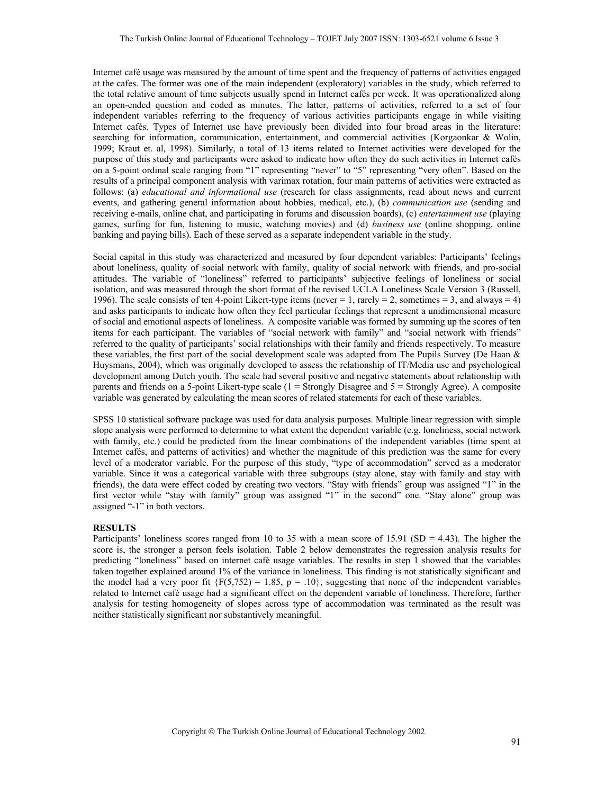Internet café usage was measured by the amount of time spent and the frequency of patterns of activities engaged at the cafes. The former was one of the main independent (exploratory) variables in the study, which referred to the total relative amount of time subjects usually spend in Internet cafés per week. It was operationalized along an open-ended question and coded as minutes. The latter, patterns of activities, referred to a set of four independent variables referring to the frequency of various activities participants engage in while visiting Internet cafés. Types of Internet use have previously been divided into four broad areas in the literature: searching for information, communication, entertainment, and commercial activities (Korgaonkar & Wolin, 1999; Kraut et. al, 1998). Similarly, a total of 13 items related to Internet activities were developed for the purpose of this study and participants were asked to indicate how often they do such activities in Internet cafés on a 5-point ordinal scale ranging from "1" representing "never" to "5" representing "very often". Based on the results of a principal component analysis with varimax rotation, four main patterns of activities were extracted as follows: (a) *educational and informational use* (research for class assignments, read about news and current events, and gathering general information about hobbies, medical, etc.), (b) *communication use* (sending and receiving e-mails, online chat, and participating in forums and discussion boards), (c) *entertainment use* (playing games, surfing for fun, listening to music, watching movies) and (d) *business use* (online shopping, online banking and paying bills). Each of these served as a separate independent variable in the study.

Social capital in this study was characterized and measured by four dependent variables: Participants' feelings about loneliness, quality of social network with family, quality of social network with friends, and pro-social attitudes. The variable of "loneliness" referred to participants' subjective feelings of loneliness or social isolation, and was measured through the short format of the revised UCLA Loneliness Scale Version 3 (Russell, 1996). The scale consists of ten 4-point Likert-type items (never  $= 1$ , rarely  $= 2$ , sometimes  $= 3$ , and always  $= 4$ ) and asks participants to indicate how often they feel particular feelings that represent a unidimensional measure of social and emotional aspects of loneliness. A composite variable was formed by summing up the scores of ten items for each participant. The variables of "social network with family" and "social network with friends" referred to the quality of participants' social relationships with their family and friends respectively. To measure these variables, the first part of the social development scale was adapted from The Pupils Survey (De Haan & Huysmans, 2004), which was originally developed to assess the relationship of IT/Media use and psychological development among Dutch youth. The scale had several positive and negative statements about relationship with parents and friends on a 5-point Likert-type scale (1 = Strongly Disagree and 5 = Strongly Agree). A composite variable was generated by calculating the mean scores of related statements for each of these variables.

SPSS 10 statistical software package was used for data analysis purposes. Multiple linear regression with simple slope analysis were performed to determine to what extent the dependent variable (e.g. loneliness, social network with family, etc.) could be predicted from the linear combinations of the independent variables (time spent at Internet cafés, and patterns of activities) and whether the magnitude of this prediction was the same for every level of a moderator variable. For the purpose of this study, "type of accommodation" served as a moderator variable. Since it was a categorical variable with three subgroups (stay alone, stay with family and stay with friends), the data were effect coded by creating two vectors. "Stay with friends" group was assigned "1" in the first vector while "stay with family" group was assigned "1" in the second" one. "Stay alone" group was assigned "-1" in both vectors.

#### **RESULTS**

Participants' loneliness scores ranged from 10 to 35 with a mean score of 15.91 (SD = 4.43). The higher the score is, the stronger a person feels isolation. Table 2 below demonstrates the regression analysis results for predicting "loneliness" based on internet café usage variables. The results in step 1 showed that the variables taken together explained around 1% of the variance in loneliness. This finding is not statistically significant and the model had a very poor fit  ${F(5,752) = 1.85, p = .10}$ , suggesting that none of the independent variables related to Internet café usage had a significant effect on the dependent variable of loneliness. Therefore, further analysis for testing homogeneity of slopes across type of accommodation was terminated as the result was neither statistically significant nor substantively meaningful.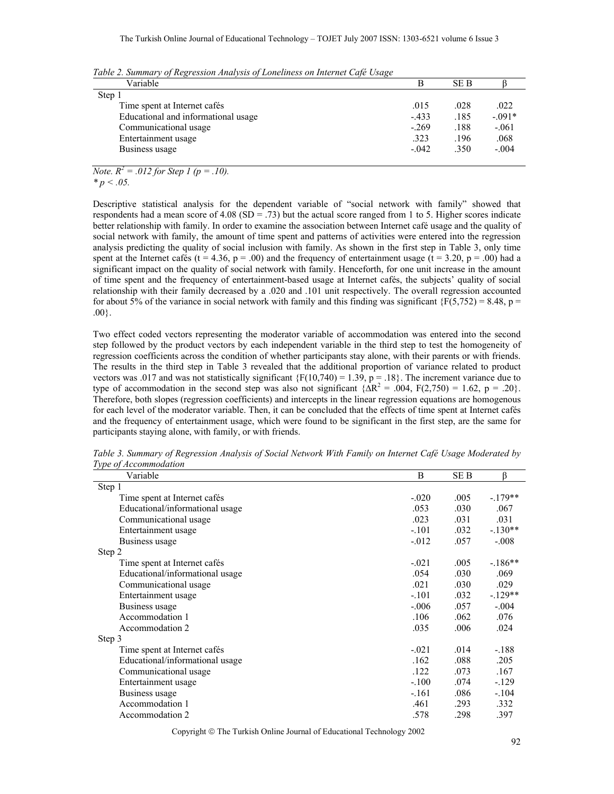| Variable                            | B        | SE B |           |
|-------------------------------------|----------|------|-----------|
| Step 1                              |          |      |           |
| Time spent at Internet cafés        | .015     | .028 | .022      |
| Educational and informational usage | $-433$   | .185 | $-0.091*$ |
| Communicational usage               | $-269$   | .188 | $-.061$   |
| Entertainment usage                 | 323      | .196 | .068      |
| Business usage                      | $-0.042$ | .350 | $-.004$   |

*Table 2. Summary of Regression Analysis of Loneliness on Internet Café Usage* 

*Note.*  $R^2 = .012$  for Step 1 (p = .10). *\* p < .05.* 

Descriptive statistical analysis for the dependent variable of "social network with family" showed that respondents had a mean score of 4.08 (SD = .73) but the actual score ranged from 1 to 5. Higher scores indicate better relationship with family. In order to examine the association between Internet café usage and the quality of social network with family, the amount of time spent and patterns of activities were entered into the regression analysis predicting the quality of social inclusion with family. As shown in the first step in Table 3, only time spent at the Internet cafés (t = 4.36, p = .00) and the frequency of entertainment usage (t = 3.20, p = .00) had a significant impact on the quality of social network with family. Henceforth, for one unit increase in the amount of time spent and the frequency of entertainment-based usage at Internet cafés, the subjects' quality of social relationship with their family decreased by a .020 and .101 unit respectively. The overall regression accounted for about 5% of the variance in social network with family and this finding was significant  $\{F(5,752) = 8.48, p =$ .00}.

Two effect coded vectors representing the moderator variable of accommodation was entered into the second step followed by the product vectors by each independent variable in the third step to test the homogeneity of regression coefficients across the condition of whether participants stay alone, with their parents or with friends. The results in the third step in Table 3 revealed that the additional proportion of variance related to product vectors was .017 and was not statistically significant  ${F(10,740) = 1.39}$ ,  ${p = .18}$ . The increment variance due to type of accommodation in the second step was also not significant  $\{\overline{\Delta R^2} = .004, F(2,750) = 1.62, p = .20\}$ . Therefore, both slopes (regression coefficients) and intercepts in the linear regression equations are homogenous for each level of the moderator variable. Then, it can be concluded that the effects of time spent at Internet cafés and the frequency of entertainment usage, which were found to be significant in the first step, are the same for participants staying alone, with family, or with friends.

| Variable                        | B        | <b>SEB</b> | ß         |
|---------------------------------|----------|------------|-----------|
| Step 1                          |          |            |           |
| Time spent at Internet cafés    | $-.020$  | .005       | $-.179**$ |
| Educational/informational usage | .053     | .030       | .067      |
| Communicational usage           | .023     | .031       | .031      |
| Entertainment usage             | $-.101$  | .032       | $-.130**$ |
| Business usage                  | $-0.012$ | .057       | $-.008$   |
| Step 2                          |          |            |           |
| Time spent at Internet cafés    | $-.021$  | .005       | $-186**$  |
| Educational/informational usage | .054     | .030       | .069      |
| Communicational usage           | .021     | .030       | .029      |
| Entertainment usage             | $-.101$  | .032       | $-.129**$ |
| Business usage                  | $-.006$  | .057       | $-.004$   |
| Accommodation 1                 | .106     | .062       | .076      |
| Accommodation 2                 | .035     | .006       | .024      |
| Step 3                          |          |            |           |
| Time spent at Internet cafés    | $-.021$  | .014       | $-.188$   |
| Educational/informational usage | .162     | .088       | .205      |
| Communicational usage           | .122     | .073       | .167      |
| Entertainment usage             | $-.100$  | .074       | $-129$    |
| Business usage                  | $-161$   | .086       | $-.104$   |
| Accommodation 1                 | .461     | .293       | .332      |
| Accommodation 2                 | .578     | .298       | .397      |
|                                 |          |            |           |

*Table 3. Summary of Regression Analysis of Social Network With Family on Internet Café Usage Moderated by Type of Accommodation* 

Copyright © The Turkish Online Journal of Educational Technology 2002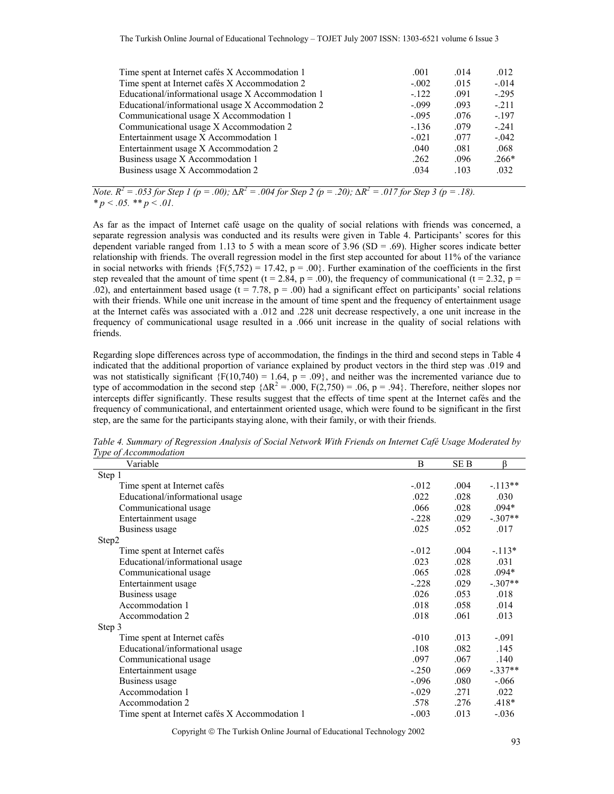| .001    | .014 | .012    |
|---------|------|---------|
| $-.002$ | .015 | $-.014$ |
| $-122$  | .091 | $-295$  |
| $-.099$ | .093 | $-211$  |
| $-.095$ | .076 | $-.197$ |
| $-136$  | .079 | $-241$  |
| $-.021$ | .077 | $-.042$ |
| .040    | .081 | .068    |
| .262    | .096 | $.266*$ |
| .034    | .103 | .032    |
|         |      |         |

*Note.*  $R^2 = .053$  for Step 1 (p = .00);  $\Delta R^2 = .004$  for Step 2 (p = .20);  $\Delta R^2 = .017$  for Step 3 (p = .18).  $* p < .05.$  \*\*  $p < .01.$ 

As far as the impact of Internet café usage on the quality of social relations with friends was concerned, a separate regression analysis was conducted and its results were given in Table 4. Participants' scores for this dependent variable ranged from 1.13 to 5 with a mean score of  $3.96$  (SD = .69). Higher scores indicate better relationship with friends. The overall regression model in the first step accounted for about 11% of the variance in social networks with friends  ${F(5,752) = 17.42, p = .00}$ . Further examination of the coefficients in the first step revealed that the amount of time spent (t = 2.84, p = .00), the frequency of communicational (t = 2.32, p = .02), and entertainment based usage ( $t = 7.78$ ,  $p = .00$ ) had a significant effect on participants' social relations with their friends. While one unit increase in the amount of time spent and the frequency of entertainment usage at the Internet cafés was associated with a .012 and .228 unit decrease respectively, a one unit increase in the frequency of communicational usage resulted in a .066 unit increase in the quality of social relations with friends.

Regarding slope differences across type of accommodation, the findings in the third and second steps in Table 4 indicated that the additional proportion of variance explained by product vectors in the third step was .019 and was not statistically significant  ${F(10,740) = 1.64, p = .09}$ , and neither was the incremented variance due to type of accommodation in the second step  $\{AR^2 = .000, F(2,750) = .06, p = .94\}$ . Therefore, neither slopes nor intercepts differ significantly. These results suggest that the effects of time spent at the Internet cafés and the frequency of communicational, and entertainment oriented usage, which were found to be significant in the first step, are the same for the participants staying alone, with their family, or with their friends.

| Variable                                       | B        | SE B | ß         |
|------------------------------------------------|----------|------|-----------|
| Step 1                                         |          |      |           |
| Time spent at Internet cafés                   | $-0.012$ | .004 | $-113**$  |
| Educational/informational usage                | .022     | .028 | .030      |
| Communicational usage                          | .066     | .028 | $.094*$   |
| Entertainment usage                            | $-.228$  | .029 | $-.307**$ |
| Business usage                                 | .025     | .052 | .017      |
| Step2                                          |          |      |           |
| Time spent at Internet cafés                   | $-0.012$ | .004 | $-113*$   |
| Educational/informational usage                | .023     | .028 | .031      |
| Communicational usage                          | .065     | .028 | $.094*$   |
| Entertainment usage                            | $-.228$  | .029 | $-.307**$ |
| Business usage                                 | .026     | .053 | .018      |
| Accommodation 1                                | .018     | .058 | .014      |
| Accommodation 2                                | .018     | .061 | .013      |
| Step 3                                         |          |      |           |
| Time spent at Internet cafés                   | $-010$   | .013 | $-.091$   |
| Educational/informational usage                | .108     | .082 | .145      |
| Communicational usage                          | .097     | .067 | .140      |
| Entertainment usage                            | $-.250$  | .069 | $-.337**$ |
| Business usage                                 | $-.096$  | .080 | $-.066$   |
| Accommodation 1                                | $-.029$  | .271 | .022      |
| Accommodation 2                                | .578     | .276 | $.418*$   |
| Time spent at Internet cafés X Accommodation 1 | $-.003$  | .013 | $-.036$   |

*Table 4. Summary of Regression Analysis of Social Network With Friends on Internet Café Usage Moderated by Type of Accommodation* 

Copyright © The Turkish Online Journal of Educational Technology 2002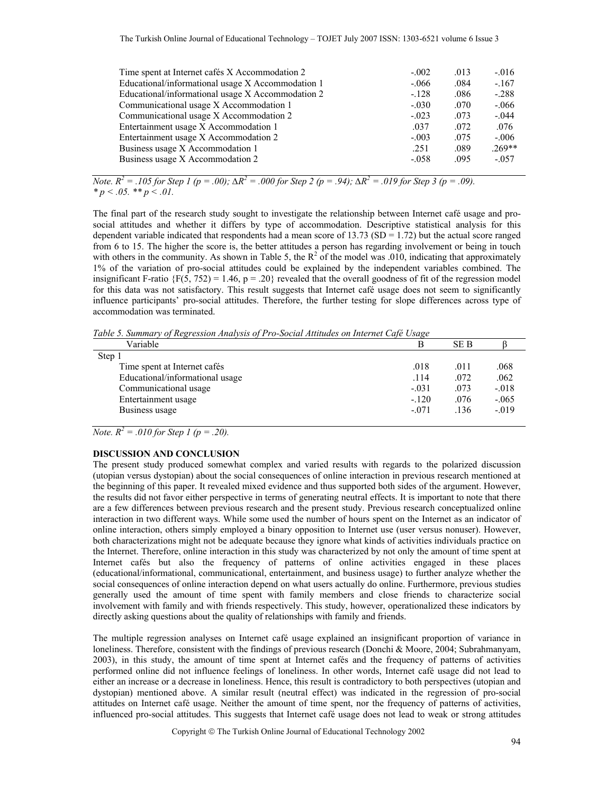| $-.002$ | .013 | $-0.016$ |
|---------|------|----------|
| $-.066$ | .084 | $-.167$  |
| $-.128$ | .086 | $-.288$  |
| $-.030$ | .070 | $-.066$  |
| $-.023$ | .073 | $-.044$  |
| .037    | .072 | .076     |
| $-.003$ | .075 | $-.006$  |
| .251    | .089 | $.269**$ |
| $-.058$ | .095 | $-.057$  |
|         |      |          |

*Note.*  $R^2 = .105$  for Step 1 (p = .00);  $\Delta R^2 = .000$  for Step 2 (p = .94);  $\Delta R^2 = .019$  for Step 3 (p = .09).  $p < .05.$  \*\*  $p < .01.$ 

The final part of the research study sought to investigate the relationship between Internet café usage and prosocial attitudes and whether it differs by type of accommodation. Descriptive statistical analysis for this dependent variable indicated that respondents had a mean score of 13.73 (SD = 1.72) but the actual score ranged from 6 to 15. The higher the score is, the better attitudes a person has regarding involvement or being in touch with others in the community. As shown in Table 5, the  $R^2$  of the model was .010, indicating that approximately 1% of the variation of pro-social attitudes could be explained by the independent variables combined. The insignificant F-ratio  ${F(5, 752) = 1.46, p = .20}$  revealed that the overall goodness of fit of the regression model for this data was not satisfactory. This result suggests that Internet café usage does not seem to significantly influence participants' pro-social attitudes. Therefore, the further testing for slope differences across type of accommodation was terminated.

*Table 5. Summary of Regression Analysis of Pro-Social Attitudes on Internet Café Usage* 

| Variable                        |         | <b>SEB</b> |         |
|---------------------------------|---------|------------|---------|
| Step 1                          |         |            |         |
| Time spent at Internet cafés    | .018    | .011       | .068    |
| Educational/informational usage | .114    | .072       | .062    |
| Communicational usage           | $-.031$ | .073       | $-.018$ |
| Entertainment usage             | $-.120$ | .076       | $-.065$ |
| Business usage                  | $-.071$ | .136       | $-.019$ |

*Note.*  $R^2 = .010$  for Step 1 (p = .20).

## **DISCUSSION AND CONCLUSION**

The present study produced somewhat complex and varied results with regards to the polarized discussion (utopian versus dystopian) about the social consequences of online interaction in previous research mentioned at the beginning of this paper. It revealed mixed evidence and thus supported both sides of the argument. However, the results did not favor either perspective in terms of generating neutral effects. It is important to note that there are a few differences between previous research and the present study. Previous research conceptualized online interaction in two different ways. While some used the number of hours spent on the Internet as an indicator of online interaction, others simply employed a binary opposition to Internet use (user versus nonuser). However, both characterizations might not be adequate because they ignore what kinds of activities individuals practice on the Internet. Therefore, online interaction in this study was characterized by not only the amount of time spent at Internet cafés but also the frequency of patterns of online activities engaged in these places (educational/informational, communicational, entertainment, and business usage) to further analyze whether the social consequences of online interaction depend on what users actually do online. Furthermore, previous studies generally used the amount of time spent with family members and close friends to characterize social involvement with family and with friends respectively. This study, however, operationalized these indicators by directly asking questions about the quality of relationships with family and friends.

The multiple regression analyses on Internet café usage explained an insignificant proportion of variance in loneliness. Therefore, consistent with the findings of previous research (Donchi & Moore, 2004; Subrahmanyam, 2003), in this study, the amount of time spent at Internet cafés and the frequency of patterns of activities performed online did not influence feelings of loneliness. In other words, Internet café usage did not lead to either an increase or a decrease in loneliness. Hence, this result is contradictory to both perspectives (utopian and dystopian) mentioned above. A similar result (neutral effect) was indicated in the regression of pro-social attitudes on Internet café usage. Neither the amount of time spent, nor the frequency of patterns of activities, influenced pro-social attitudes. This suggests that Internet café usage does not lead to weak or strong attitudes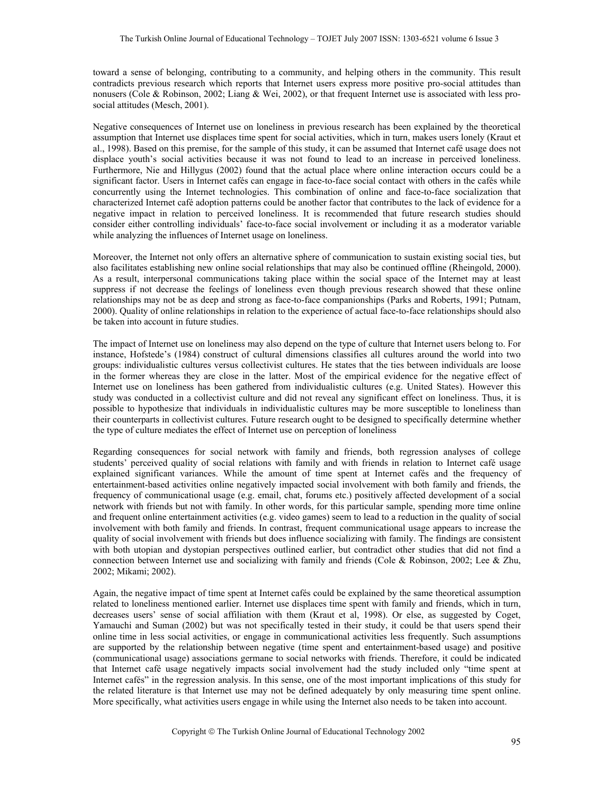toward a sense of belonging, contributing to a community, and helping others in the community. This result contradicts previous research which reports that Internet users express more positive pro-social attitudes than nonusers (Cole & Robinson, 2002; Liang & Wei, 2002), or that frequent Internet use is associated with less prosocial attitudes (Mesch, 2001).

Negative consequences of Internet use on loneliness in previous research has been explained by the theoretical assumption that Internet use displaces time spent for social activities, which in turn, makes users lonely (Kraut et al., 1998). Based on this premise, for the sample of this study, it can be assumed that Internet café usage does not displace youth's social activities because it was not found to lead to an increase in perceived loneliness. Furthermore, Nie and Hillygus (2002) found that the actual place where online interaction occurs could be a significant factor. Users in Internet cafés can engage in face-to-face social contact with others in the cafés while concurrently using the Internet technologies. This combination of online and face-to-face socialization that characterized Internet café adoption patterns could be another factor that contributes to the lack of evidence for a negative impact in relation to perceived loneliness. It is recommended that future research studies should consider either controlling individuals' face-to-face social involvement or including it as a moderator variable while analyzing the influences of Internet usage on loneliness.

Moreover, the Internet not only offers an alternative sphere of communication to sustain existing social ties, but also facilitates establishing new online social relationships that may also be continued offline (Rheingold, 2000). As a result, interpersonal communications taking place within the social space of the Internet may at least suppress if not decrease the feelings of loneliness even though previous research showed that these online relationships may not be as deep and strong as face-to-face companionships (Parks and Roberts, 1991; Putnam, 2000). Quality of online relationships in relation to the experience of actual face-to-face relationships should also be taken into account in future studies.

The impact of Internet use on loneliness may also depend on the type of culture that Internet users belong to. For instance, Hofstede's (1984) construct of cultural dimensions classifies all cultures around the world into two groups: individualistic cultures versus collectivist cultures. He states that the ties between individuals are loose in the former whereas they are close in the latter. Most of the empirical evidence for the negative effect of Internet use on loneliness has been gathered from individualistic cultures (e.g. United States). However this study was conducted in a collectivist culture and did not reveal any significant effect on loneliness. Thus, it is possible to hypothesize that individuals in individualistic cultures may be more susceptible to loneliness than their counterparts in collectivist cultures. Future research ought to be designed to specifically determine whether the type of culture mediates the effect of Internet use on perception of loneliness

Regarding consequences for social network with family and friends, both regression analyses of college students' perceived quality of social relations with family and with friends in relation to Internet café usage explained significant variances. While the amount of time spent at Internet cafés and the frequency of entertainment-based activities online negatively impacted social involvement with both family and friends, the frequency of communicational usage (e.g. email, chat, forums etc.) positively affected development of a social network with friends but not with family. In other words, for this particular sample, spending more time online and frequent online entertainment activities (e.g. video games) seem to lead to a reduction in the quality of social involvement with both family and friends. In contrast, frequent communicational usage appears to increase the quality of social involvement with friends but does influence socializing with family. The findings are consistent with both utopian and dystopian perspectives outlined earlier, but contradict other studies that did not find a connection between Internet use and socializing with family and friends (Cole & Robinson, 2002; Lee & Zhu, 2002; Mikami; 2002).

Again, the negative impact of time spent at Internet cafés could be explained by the same theoretical assumption related to loneliness mentioned earlier. Internet use displaces time spent with family and friends, which in turn, decreases users' sense of social affiliation with them (Kraut et al, 1998). Or else, as suggested by Coget, Yamauchi and Suman (2002) but was not specifically tested in their study, it could be that users spend their online time in less social activities, or engage in communicational activities less frequently. Such assumptions are supported by the relationship between negative (time spent and entertainment-based usage) and positive (communicational usage) associations germane to social networks with friends. Therefore, it could be indicated that Internet café usage negatively impacts social involvement had the study included only "time spent at Internet cafés" in the regression analysis. In this sense, one of the most important implications of this study for the related literature is that Internet use may not be defined adequately by only measuring time spent online. More specifically, what activities users engage in while using the Internet also needs to be taken into account.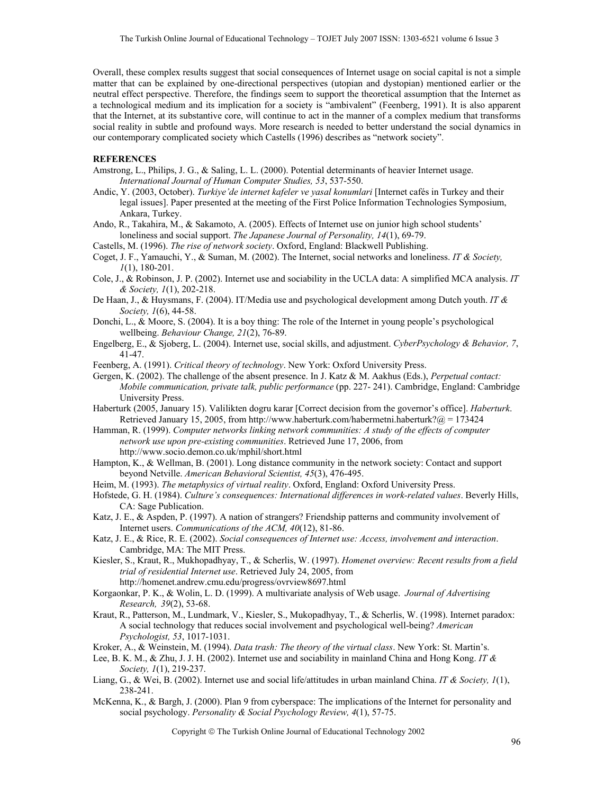Overall, these complex results suggest that social consequences of Internet usage on social capital is not a simple matter that can be explained by one-directional perspectives (utopian and dystopian) mentioned earlier or the neutral effect perspective. Therefore, the findings seem to support the theoretical assumption that the Internet as a technological medium and its implication for a society is "ambivalent" (Feenberg, 1991). It is also apparent that the Internet, at its substantive core, will continue to act in the manner of a complex medium that transforms social reality in subtle and profound ways. More research is needed to better understand the social dynamics in our contemporary complicated society which Castells (1996) describes as "network society".

## **REFERENCES**

- Amstrong, L., Philips, J. G., & Saling, L. L. (2000). Potential determinants of heavier Internet usage. *International Journal of Human Computer Studies, 53*, 537-550.
- Andic, Y. (2003, October). *Turkiye'de internet kafeler ve yasal konumlari* [Internet cafés in Turkey and their legal issues]. Paper presented at the meeting of the First Police Information Technologies Symposium, Ankara, Turkey.
- Ando, R., Takahira, M., & Sakamoto, A. (2005). Effects of Internet use on junior high school students' loneliness and social support. *The Japanese Journal of Personality, 14*(1), 69-79.
- Castells, M. (1996). *The rise of network society*. Oxford, England: Blackwell Publishing.
- Coget, J. F., Yamauchi, Y., & Suman, M. (2002). The Internet, social networks and loneliness. *IT & Society, 1*(1), 180-201.
- Cole, J., & Robinson, J. P. (2002). Internet use and sociability in the UCLA data: A simplified MCA analysis. *IT & Society, 1*(1), 202-218.
- De Haan, J., & Huysmans, F. (2004). IT/Media use and psychological development among Dutch youth. *IT & Society, 1*(6), 44-58.
- Donchi, L., & Moore, S. (2004). It is a boy thing: The role of the Internet in young people's psychological wellbeing. *Behaviour Change, 21*(2), 76-89.
- Engelberg, E., & Sjoberg, L. (2004). Internet use, social skills, and adjustment. *CyberPsychology & Behavior, 7*, 41-47.
- Feenberg, A. (1991). *Critical theory of technology*. New York: Oxford University Press.
- Gergen, K. (2002). The challenge of the absent presence. In J. Katz & M. Aakhus (Eds.), *Perpetual contact: Mobile communication, private talk, public performance* (pp. 227- 241). Cambridge, England: Cambridge University Press.
- Haberturk (2005, January 15). Valilikten dogru karar [Correct decision from the governor's office]. *Haberturk*. Retrieved January 15, 2005, from http://www.haberturk.com/habermetni.haberturk?@ = 173424
- Hamman, R. (1999). *Computer networks linking network communities: A study of the effects of computer network use upon pre-existing communities*. Retrieved June 17, 2006, from http://www.socio.demon.co.uk/mphil/short.html
- Hampton, K., & Wellman, B. (2001). Long distance community in the network society: Contact and support beyond Netville. *American Behavioral Scientist, 45*(3), 476-495.
- Heim, M. (1993). *The metaphysics of virtual reality*. Oxford, England: Oxford University Press.
- Hofstede, G. H. (1984). *Culture's consequences: International differences in work-related values*. Beverly Hills, CA: Sage Publication.
- Katz, J. E., & Aspden, P. (1997). A nation of strangers? Friendship patterns and community involvement of Internet users. *Communications of the ACM, 40*(12), 81-86.
- Katz, J. E., & Rice, R. E. (2002). *Social consequences of Internet use: Access, involvement and interaction*. Cambridge, MA: The MIT Press.
- Kiesler, S., Kraut, R., Mukhopadhyay, T., & Scherlis, W. (1997). *Homenet overview: Recent results from a field trial of residential Internet use*. Retrieved July 24, 2005, from http://homenet.andrew.cmu.edu/progress/ovrview8697.html
- Korgaonkar, P. K., & Wolin, L. D. (1999). A multivariate analysis of Web usage. *Journal of Advertising Research, 39*(2), 53-68.
- Kraut, R., Patterson, M., Lundmark, V., Kiesler, S., Mukopadhyay, T., & Scherlis, W. (1998). Internet paradox: A social technology that reduces social involvement and psychological well-being? *American Psychologist, 53*, 1017-1031.
- Kroker, A., & Weinstein, M. (1994). *Data trash: The theory of the virtual class*. New York: St. Martin's.
- Lee, B. K. M., & Zhu, J. J. H. (2002). Internet use and sociability in mainland China and Hong Kong. *IT & Society, 1*(1), 219-237.
- Liang, G., & Wei, B. (2002). Internet use and social life/attitudes in urban mainland China. *IT & Society, 1*(1), 238-241.
- McKenna, K., & Bargh, J. (2000). Plan 9 from cyberspace: The implications of the Internet for personality and social psychology. *Personality & Social Psychology Review, 4*(1), 57-75.

Copyright © The Turkish Online Journal of Educational Technology 2002